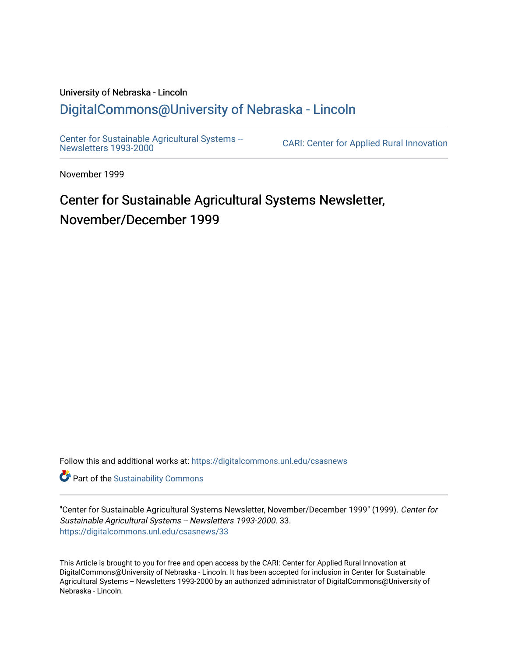### University of Nebraska - Lincoln [DigitalCommons@University of Nebraska - Lincoln](https://digitalcommons.unl.edu/)

[Center for Sustainable Agricultural Systems --](https://digitalcommons.unl.edu/csasnews)<br>Newsletters 1993-2000

CARI: Center for Applied Rural Innovation

November 1999

## Center for Sustainable Agricultural Systems Newsletter, November/December 1999

Follow this and additional works at: [https://digitalcommons.unl.edu/csasnews](https://digitalcommons.unl.edu/csasnews?utm_source=digitalcommons.unl.edu%2Fcsasnews%2F33&utm_medium=PDF&utm_campaign=PDFCoverPages) 

**Part of the [Sustainability Commons](http://network.bepress.com/hgg/discipline/1031?utm_source=digitalcommons.unl.edu%2Fcsasnews%2F33&utm_medium=PDF&utm_campaign=PDFCoverPages)** 

"Center for Sustainable Agricultural Systems Newsletter, November/December 1999" (1999). Center for Sustainable Agricultural Systems -- Newsletters 1993-2000. 33. [https://digitalcommons.unl.edu/csasnews/33](https://digitalcommons.unl.edu/csasnews/33?utm_source=digitalcommons.unl.edu%2Fcsasnews%2F33&utm_medium=PDF&utm_campaign=PDFCoverPages) 

This Article is brought to you for free and open access by the CARI: Center for Applied Rural Innovation at DigitalCommons@University of Nebraska - Lincoln. It has been accepted for inclusion in Center for Sustainable Agricultural Systems -- Newsletters 1993-2000 by an authorized administrator of DigitalCommons@University of Nebraska - Lincoln.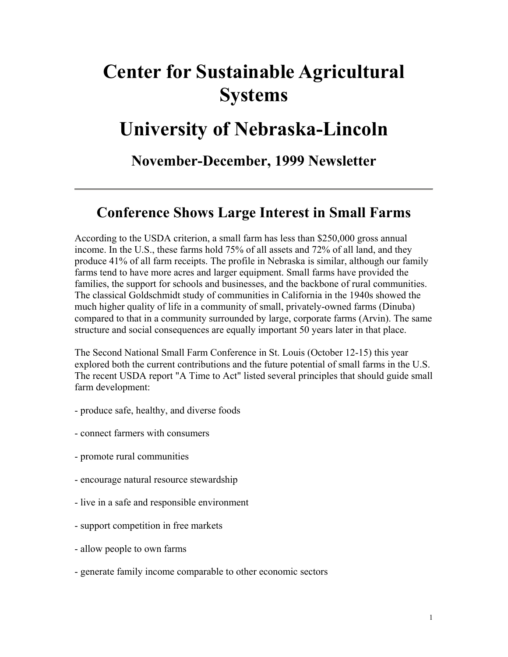# **Center for Sustainable Agricultural Systems**

# **University of Nebraska-Lincoln**

### **November-December, 1999 Newsletter**

### **Conference Shows Large Interest in Small Farms**

According to the USDA criterion, a small farm has less than \$250,000 gross annual income. In the U.S., these farms hold 75% of all assets and 72% of all land, and they produce 41% of all farm receipts. The profile in Nebraska is similar, although our family farms tend to have more acres and larger equipment. Small farms have provided the families, the support for schools and businesses, and the backbone of rural communities. The classical Goldschmidt study of communities in California in the 1940s showed the much higher quality of life in a community of small, privately-owned farms (Dinuba) compared to that in a community surrounded by large, corporate farms (Arvin). The same structure and social consequences are equally important 50 years later in that place.

The Second National Small Farm Conference in St. Louis (October 12-15) this year explored both the current contributions and the future potential of small farms in the U.S. The recent USDA report "A Time to Act" listed several principles that should guide small farm development:

- produce safe, healthy, and diverse foods
- connect farmers with consumers
- promote rural communities
- encourage natural resource stewardship
- live in a safe and responsible environment
- support competition in free markets
- allow people to own farms
- generate family income comparable to other economic sectors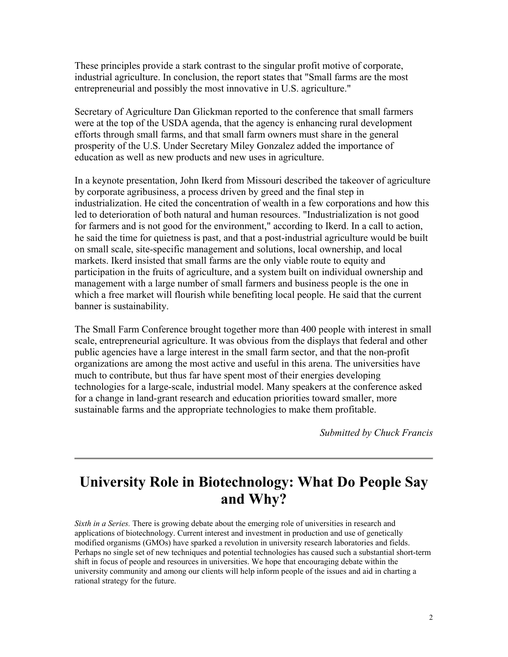These principles provide a stark contrast to the singular profit motive of corporate, industrial agriculture. In conclusion, the report states that "Small farms are the most entrepreneurial and possibly the most innovative in U.S. agriculture."

Secretary of Agriculture Dan Glickman reported to the conference that small farmers were at the top of the USDA agenda, that the agency is enhancing rural development efforts through small farms, and that small farm owners must share in the general prosperity of the U.S. Under Secretary Miley Gonzalez added the importance of education as well as new products and new uses in agriculture.

In a keynote presentation, John Ikerd from Missouri described the takeover of agriculture by corporate agribusiness, a process driven by greed and the final step in industrialization. He cited the concentration of wealth in a few corporations and how this led to deterioration of both natural and human resources. "Industrialization is not good for farmers and is not good for the environment," according to Ikerd. In a call to action, he said the time for quietness is past, and that a post-industrial agriculture would be built on small scale, site-specific management and solutions, local ownership, and local markets. Ikerd insisted that small farms are the only viable route to equity and participation in the fruits of agriculture, and a system built on individual ownership and management with a large number of small farmers and business people is the one in which a free market will flourish while benefiting local people. He said that the current banner is sustainability.

The Small Farm Conference brought together more than 400 people with interest in small scale, entrepreneurial agriculture. It was obvious from the displays that federal and other public agencies have a large interest in the small farm sector, and that the non-profit organizations are among the most active and useful in this arena. The universities have much to contribute, but thus far have spent most of their energies developing technologies for a large-scale, industrial model. Many speakers at the conference asked for a change in land-grant research and education priorities toward smaller, more sustainable farms and the appropriate technologies to make them profitable.

*Submitted by Chuck Francis*

### **University Role in Biotechnology: What Do People Say and Why?**

*Sixth in a Series.* There is growing debate about the emerging role of universities in research and applications of biotechnology. Current interest and investment in production and use of genetically modified organisms (GMOs) have sparked a revolution in university research laboratories and fields. Perhaps no single set of new techniques and potential technologies has caused such a substantial short-term shift in focus of people and resources in universities. We hope that encouraging debate within the university community and among our clients will help inform people of the issues and aid in charting a rational strategy for the future.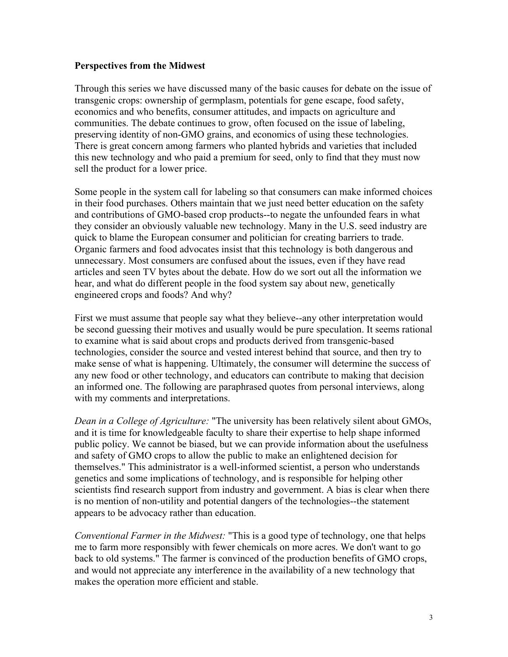#### **Perspectives from the Midwest**

Through this series we have discussed many of the basic causes for debate on the issue of transgenic crops: ownership of germplasm, potentials for gene escape, food safety, economics and who benefits, consumer attitudes, and impacts on agriculture and communities. The debate continues to grow, often focused on the issue of labeling, preserving identity of non-GMO grains, and economics of using these technologies. There is great concern among farmers who planted hybrids and varieties that included this new technology and who paid a premium for seed, only to find that they must now sell the product for a lower price.

Some people in the system call for labeling so that consumers can make informed choices in their food purchases. Others maintain that we just need better education on the safety and contributions of GMO-based crop products--to negate the unfounded fears in what they consider an obviously valuable new technology. Many in the U.S. seed industry are quick to blame the European consumer and politician for creating barriers to trade. Organic farmers and food advocates insist that this technology is both dangerous and unnecessary. Most consumers are confused about the issues, even if they have read articles and seen TV bytes about the debate. How do we sort out all the information we hear, and what do different people in the food system say about new, genetically engineered crops and foods? And why?

First we must assume that people say what they believe--any other interpretation would be second guessing their motives and usually would be pure speculation. It seems rational to examine what is said about crops and products derived from transgenic-based technologies, consider the source and vested interest behind that source, and then try to make sense of what is happening. Ultimately, the consumer will determine the success of any new food or other technology, and educators can contribute to making that decision an informed one. The following are paraphrased quotes from personal interviews, along with my comments and interpretations.

*Dean in a College of Agriculture:* "The university has been relatively silent about GMOs, and it is time for knowledgeable faculty to share their expertise to help shape informed public policy. We cannot be biased, but we can provide information about the usefulness and safety of GMO crops to allow the public to make an enlightened decision for themselves." This administrator is a well-informed scientist, a person who understands genetics and some implications of technology, and is responsible for helping other scientists find research support from industry and government. A bias is clear when there is no mention of non-utility and potential dangers of the technologies--the statement appears to be advocacy rather than education.

*Conventional Farmer in the Midwest:* "This is a good type of technology, one that helps me to farm more responsibly with fewer chemicals on more acres. We don't want to go back to old systems." The farmer is convinced of the production benefits of GMO crops, and would not appreciate any interference in the availability of a new technology that makes the operation more efficient and stable.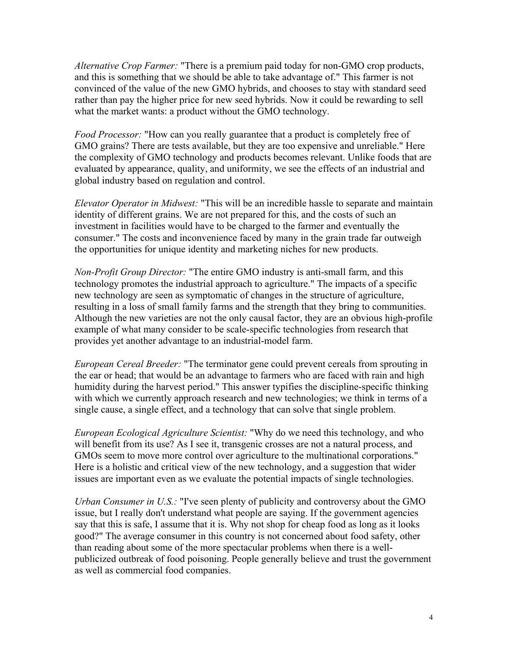*Alternative Crop Farmer:* "There is a premium paid today for non-GMO crop products, and this is something that we should be able to take advantage of." This farmer is not convinced of the value of the new GMO hybrids, and chooses to stay with standard seed rather than pay the higher price for new seed hybrids. Now it could be rewarding to sell what the market wants: a product without the GMO technology.

*Food Processor:* "How can you really guarantee that a product is completely free of GMO grains? There are tests available, but they are too expensive and unreliable." Here the complexity of GMO technology and products becomes relevant. Unlike foods that are evaluated by appearance, quality, and uniformity, we see the effects of an industrial and global industry based on regulation and control.

*Elevator Operator in Midwest:* "This will be an incredible hassle to separate and maintain identity of different grains. We are not prepared for this, and the costs of such an investment in facilities would have to be charged to the farmer and eventually the consumer." The costs and inconvenience faced by many in the grain trade far outweigh the opportunities for unique identity and marketing niches for new products.

*Non-Profit Group Director:* "The entire GMO industry is anti-small farm, and this technology promotes the industrial approach to agriculture." The impacts of a specific new technology are seen as symptomatic of changes in the structure of agriculture, resulting in a loss of small family farms and the strength that they bring to communities. Although the new varieties are not the only causal factor, they are an obvious high-profile example of what many consider to be scale-specific technologies from research that provides yet another advantage to an industrial-model farm.

*European Cereal Breeder:* "The terminator gene could prevent cereals from sprouting in the ear or head; that would be an advantage to farmers who are faced with rain and high humidity during the harvest period." This answer typifies the discipline-specific thinking with which we currently approach research and new technologies; we think in terms of a single cause, a single effect, and a technology that can solve that single problem.

*European Ecological Agriculture Scientist:* "Why do we need this technology, and who will benefit from its use? As I see it, transgenic crosses are not a natural process, and GMOs seem to move more control over agriculture to the multinational corporations." Here is a holistic and critical view of the new technology, and a suggestion that wider issues are important even as we evaluate the potential impacts of single technologies.

*Urban Consumer in U.S.:* "I've seen plenty of publicity and controversy about the GMO issue, but I really don't understand what people are saying. If the government agencies say that this is safe, I assume that it is. Why not shop for cheap food as long as it looks good?" The average consumer in this country is not concerned about food safety, other than reading about some of the more spectacular problems when there is a wellpublicized outbreak of food poisoning. People generally believe and trust the government as well as commercial food companies.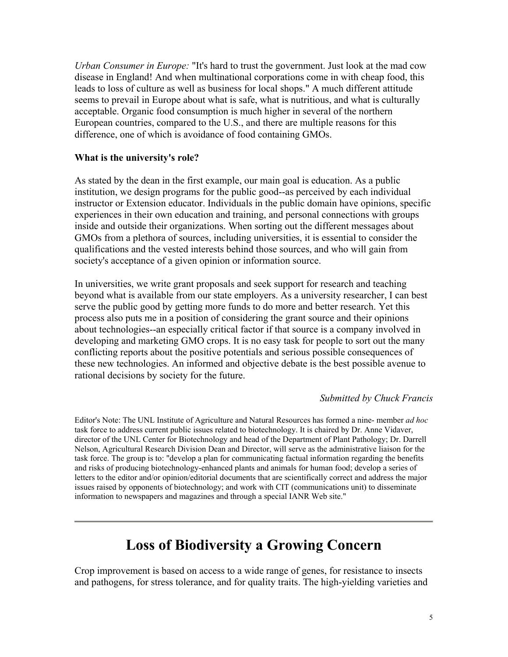*Urban Consumer in Europe:* "It's hard to trust the government. Just look at the mad cow disease in England! And when multinational corporations come in with cheap food, this leads to loss of culture as well as business for local shops." A much different attitude seems to prevail in Europe about what is safe, what is nutritious, and what is culturally acceptable. Organic food consumption is much higher in several of the northern European countries, compared to the U.S., and there are multiple reasons for this difference, one of which is avoidance of food containing GMOs.

#### **What is the university's role?**

As stated by the dean in the first example, our main goal is education. As a public institution, we design programs for the public good--as perceived by each individual instructor or Extension educator. Individuals in the public domain have opinions, specific experiences in their own education and training, and personal connections with groups inside and outside their organizations. When sorting out the different messages about GMOs from a plethora of sources, including universities, it is essential to consider the qualifications and the vested interests behind those sources, and who will gain from society's acceptance of a given opinion or information source.

In universities, we write grant proposals and seek support for research and teaching beyond what is available from our state employers. As a university researcher, I can best serve the public good by getting more funds to do more and better research. Yet this process also puts me in a position of considering the grant source and their opinions about technologies--an especially critical factor if that source is a company involved in developing and marketing GMO crops. It is no easy task for people to sort out the many conflicting reports about the positive potentials and serious possible consequences of these new technologies. An informed and objective debate is the best possible avenue to rational decisions by society for the future.

#### *Submitted by Chuck Francis*

Editor's Note: The UNL Institute of Agriculture and Natural Resources has formed a nine- member *ad hoc* task force to address current public issues related to biotechnology. It is chaired by Dr. Anne Vidaver, director of the UNL Center for Biotechnology and head of the Department of Plant Pathology; Dr. Darrell Nelson, Agricultural Research Division Dean and Director, will serve as the administrative liaison for the task force. The group is to: "develop a plan for communicating factual information regarding the benefits and risks of producing biotechnology-enhanced plants and animals for human food; develop a series of letters to the editor and/or opinion/editorial documents that are scientifically correct and address the major issues raised by opponents of biotechnology; and work with CIT (communications unit) to disseminate information to newspapers and magazines and through a special IANR Web site."

### **Loss of Biodiversity a Growing Concern**

Crop improvement is based on access to a wide range of genes, for resistance to insects and pathogens, for stress tolerance, and for quality traits. The high-yielding varieties and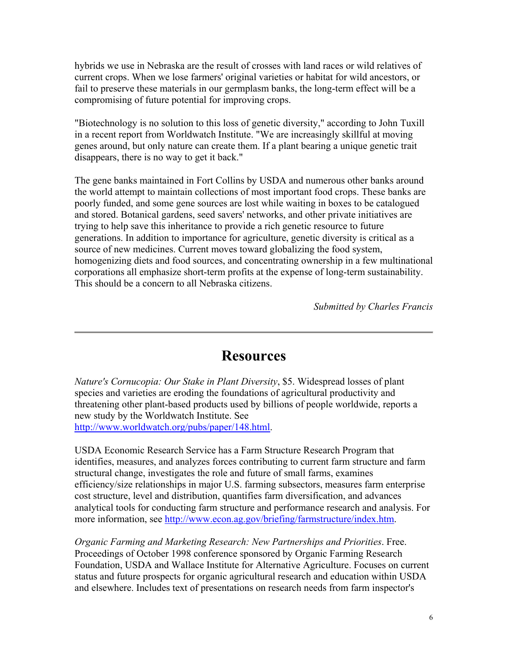hybrids we use in Nebraska are the result of crosses with land races or wild relatives of current crops. When we lose farmers' original varieties or habitat for wild ancestors, or fail to preserve these materials in our germplasm banks, the long-term effect will be a compromising of future potential for improving crops.

"Biotechnology is no solution to this loss of genetic diversity," according to John Tuxill in a recent report from Worldwatch Institute. "We are increasingly skillful at moving genes around, but only nature can create them. If a plant bearing a unique genetic trait disappears, there is no way to get it back."

The gene banks maintained in Fort Collins by USDA and numerous other banks around the world attempt to maintain collections of most important food crops. These banks are poorly funded, and some gene sources are lost while waiting in boxes to be catalogued and stored. Botanical gardens, seed savers' networks, and other private initiatives are trying to help save this inheritance to provide a rich genetic resource to future generations. In addition to importance for agriculture, genetic diversity is critical as a source of new medicines. Current moves toward globalizing the food system, homogenizing diets and food sources, and concentrating ownership in a few multinational corporations all emphasize short-term profits at the expense of long-term sustainability. This should be a concern to all Nebraska citizens.

*Submitted by Charles Francis*

### **Resources**

*Nature's Cornucopia: Our Stake in Plant Diversity*, \$5. Widespread losses of plant species and varieties are eroding the foundations of agricultural productivity and threatening other plant-based products used by billions of people worldwide, reports a new study by the Worldwatch Institute. See http://www.worldwatch.org/pubs/paper/148.html.

USDA Economic Research Service has a Farm Structure Research Program that identifies, measures, and analyzes forces contributing to current farm structure and farm structural change, investigates the role and future of small farms, examines efficiency/size relationships in major U.S. farming subsectors, measures farm enterprise cost structure, level and distribution, quantifies farm diversification, and advances analytical tools for conducting farm structure and performance research and analysis. For more information, see http://www.econ.ag.gov/briefing/farmstructure/index.htm.

*Organic Farming and Marketing Research: New Partnerships and Priorities*. Free. Proceedings of October 1998 conference sponsored by Organic Farming Research Foundation, USDA and Wallace Institute for Alternative Agriculture. Focuses on current status and future prospects for organic agricultural research and education within USDA and elsewhere. Includes text of presentations on research needs from farm inspector's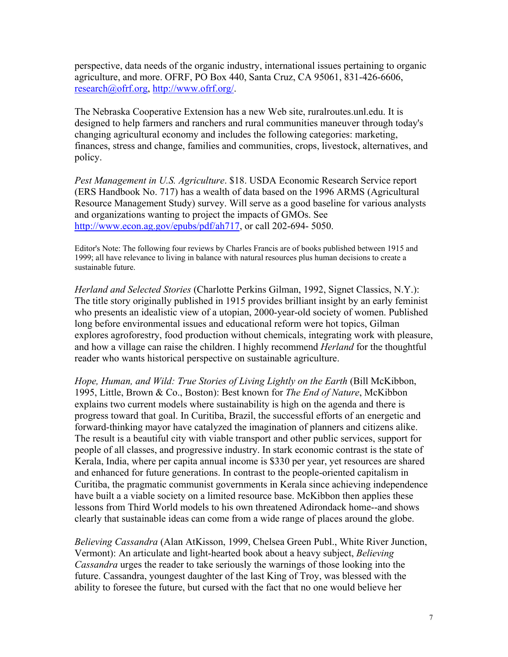perspective, data needs of the organic industry, international issues pertaining to organic agriculture, and more. OFRF, PO Box 440, Santa Cruz, CA 95061, 831-426-6606, research@ofrf.org, http://www.ofrf.org/.

The Nebraska Cooperative Extension has a new Web site, ruralroutes.unl.edu. It is designed to help farmers and ranchers and rural communities maneuver through today's changing agricultural economy and includes the following categories: marketing, finances, stress and change, families and communities, crops, livestock, alternatives, and policy.

*Pest Management in U.S. Agriculture*. \$18. USDA Economic Research Service report (ERS Handbook No. 717) has a wealth of data based on the 1996 ARMS (Agricultural Resource Management Study) survey. Will serve as a good baseline for various analysts and organizations wanting to project the impacts of GMOs. See http://www.econ.ag.gov/epubs/pdf/ah717, or call 202-694- 5050.

Editor's Note: The following four reviews by Charles Francis are of books published between 1915 and 1999; all have relevance to living in balance with natural resources plus human decisions to create a sustainable future.

*Herland and Selected Stories* (Charlotte Perkins Gilman, 1992, Signet Classics, N.Y.): The title story originally published in 1915 provides brilliant insight by an early feminist who presents an idealistic view of a utopian, 2000-year-old society of women. Published long before environmental issues and educational reform were hot topics, Gilman explores agroforestry, food production without chemicals, integrating work with pleasure, and how a village can raise the children. I highly recommend *Herland* for the thoughtful reader who wants historical perspective on sustainable agriculture.

*Hope, Human, and Wild: True Stories of Living Lightly on the Earth* (Bill McKibbon, 1995, Little, Brown & Co., Boston): Best known for *The End of Nature*, McKibbon explains two current models where sustainability is high on the agenda and there is progress toward that goal. In Curitiba, Brazil, the successful efforts of an energetic and forward-thinking mayor have catalyzed the imagination of planners and citizens alike. The result is a beautiful city with viable transport and other public services, support for people of all classes, and progressive industry. In stark economic contrast is the state of Kerala, India, where per capita annual income is \$330 per year, yet resources are shared and enhanced for future generations. In contrast to the people-oriented capitalism in Curitiba, the pragmatic communist governments in Kerala since achieving independence have built a a viable society on a limited resource base. McKibbon then applies these lessons from Third World models to his own threatened Adirondack home--and shows clearly that sustainable ideas can come from a wide range of places around the globe.

*Believing Cassandra* (Alan AtKisson, 1999, Chelsea Green Publ., White River Junction, Vermont): An articulate and light-hearted book about a heavy subject, *Believing Cassandra* urges the reader to take seriously the warnings of those looking into the future. Cassandra, youngest daughter of the last King of Troy, was blessed with the ability to foresee the future, but cursed with the fact that no one would believe her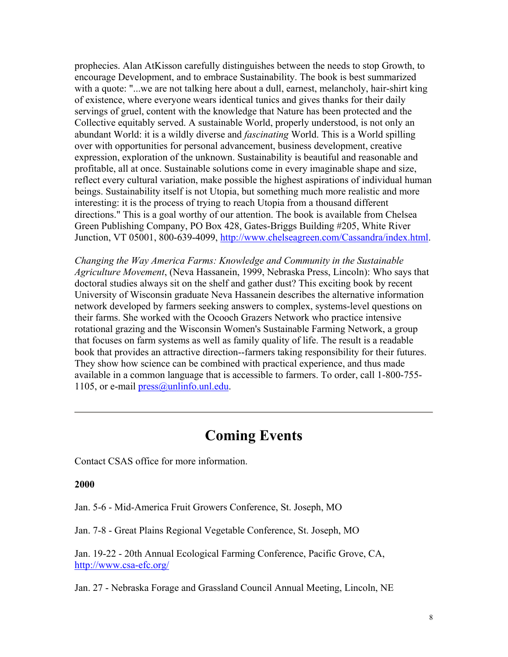prophecies. Alan AtKisson carefully distinguishes between the needs to stop Growth, to encourage Development, and to embrace Sustainability. The book is best summarized with a quote: "...we are not talking here about a dull, earnest, melancholy, hair-shirt king of existence, where everyone wears identical tunics and gives thanks for their daily servings of gruel, content with the knowledge that Nature has been protected and the Collective equitably served. A sustainable World, properly understood, is not only an abundant World: it is a wildly diverse and *fascinating* World. This is a World spilling over with opportunities for personal advancement, business development, creative expression, exploration of the unknown. Sustainability is beautiful and reasonable and profitable, all at once. Sustainable solutions come in every imaginable shape and size, reflect every cultural variation, make possible the highest aspirations of individual human beings. Sustainability itself is not Utopia, but something much more realistic and more interesting: it is the process of trying to reach Utopia from a thousand different directions." This is a goal worthy of our attention. The book is available from Chelsea Green Publishing Company, PO Box 428, Gates-Briggs Building #205, White River Junction, VT 05001, 800-639-4099, http://www.chelseagreen.com/Cassandra/index.html.

*Changing the Way America Farms: Knowledge and Community in the Sustainable Agriculture Movement*, (Neva Hassanein, 1999, Nebraska Press, Lincoln): Who says that doctoral studies always sit on the shelf and gather dust? This exciting book by recent University of Wisconsin graduate Neva Hassanein describes the alternative information network developed by farmers seeking answers to complex, systems-level questions on their farms. She worked with the Ocooch Grazers Network who practice intensive rotational grazing and the Wisconsin Women's Sustainable Farming Network, a group that focuses on farm systems as well as family quality of life. The result is a readable book that provides an attractive direction--farmers taking responsibility for their futures. They show how science can be combined with practical experience, and thus made available in a common language that is accessible to farmers. To order, call 1-800-755- 1105, or e-mail press@unlinfo.unl.edu.

### **Coming Events**

Contact CSAS office for more information.

#### **2000**

Jan. 5-6 - Mid-America Fruit Growers Conference, St. Joseph, MO

Jan. 7-8 - Great Plains Regional Vegetable Conference, St. Joseph, MO

Jan. 19-22 - 20th Annual Ecological Farming Conference, Pacific Grove, CA, http://www.csa-efc.org/

Jan. 27 - Nebraska Forage and Grassland Council Annual Meeting, Lincoln, NE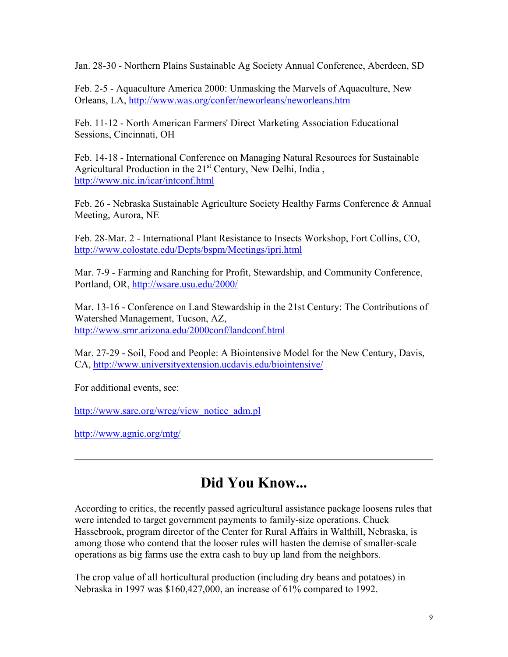Jan. 28-30 - Northern Plains Sustainable Ag Society Annual Conference, Aberdeen, SD

Feb. 2-5 - Aquaculture America 2000: Unmasking the Marvels of Aquaculture, New Orleans, LA, http://www.was.org/confer/neworleans/neworleans.htm

Feb. 11-12 - North American Farmers' Direct Marketing Association Educational Sessions, Cincinnati, OH

Feb. 14-18 - International Conference on Managing Natural Resources for Sustainable Agricultural Production in the  $21<sup>st</sup>$  Century, New Delhi, India, http://www.nic.in/icar/intconf.html

Feb. 26 - Nebraska Sustainable Agriculture Society Healthy Farms Conference & Annual Meeting, Aurora, NE

Feb. 28-Mar. 2 - International Plant Resistance to Insects Workshop, Fort Collins, CO, http://www.colostate.edu/Depts/bspm/Meetings/ipri.html

Mar. 7-9 - Farming and Ranching for Profit, Stewardship, and Community Conference, Portland, OR, http://wsare.usu.edu/2000/

Mar. 13-16 - Conference on Land Stewardship in the 21st Century: The Contributions of Watershed Management, Tucson, AZ, http://www.srnr.arizona.edu/2000conf/landconf.html

Mar. 27-29 - Soil, Food and People: A Biointensive Model for the New Century, Davis, CA, http://www.universityextension.ucdavis.edu/biointensive/

For additional events, see:

http://www.sare.org/wreg/view\_notice\_adm.pl

http://www.agnic.org/mtg/

### **Did You Know...**

According to critics, the recently passed agricultural assistance package loosens rules that were intended to target government payments to family-size operations. Chuck Hassebrook, program director of the Center for Rural Affairs in Walthill, Nebraska, is among those who contend that the looser rules will hasten the demise of smaller-scale operations as big farms use the extra cash to buy up land from the neighbors.

The crop value of all horticultural production (including dry beans and potatoes) in Nebraska in 1997 was \$160,427,000, an increase of 61% compared to 1992.